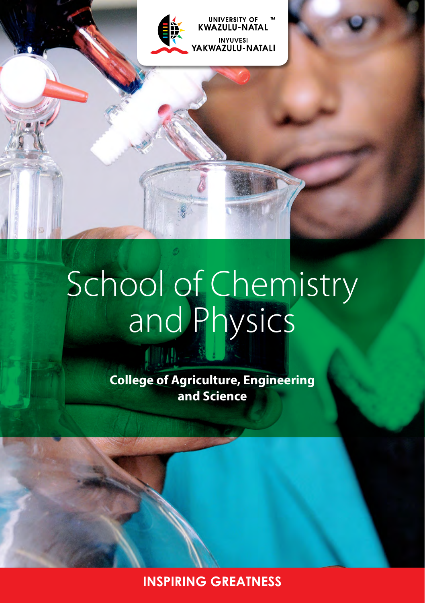

# School of Chemistry and Physics

**College of Agriculture, Engineering and Science**

**INSPIRING GREATNESS**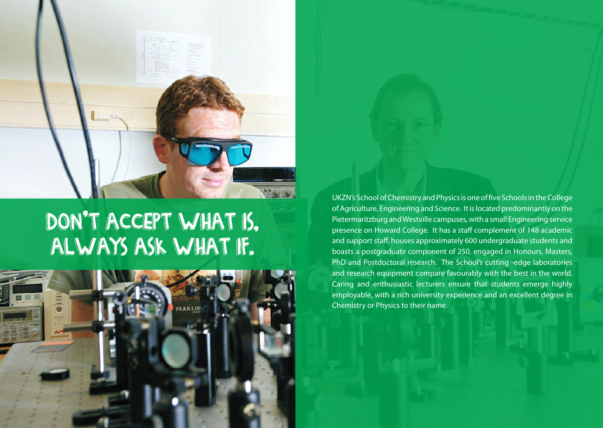

## Don't accept what is, always ask what if.



UKZN's School of Chemistry and Physics is one of five Schools in the College of Agriculture, Engineering and Science. It is located predominantly on the Pietermaritzburg and Westville campuses, with a small Engineering service presence on Howard College. It has a staff complement of 148 academic and support staff, houses approximately 600 undergraduate students and boasts a postgraduate component of 250, engaged in Honours, Masters, PhD and Postdoctoral research. The School's cutting -edge laboratories and research equipment compare favourably with the best in the world. Caring and enthusiastic lecturers ensure that students emerge highly employable, with a rich university experience and an excellent degree in Chemistry or Physics to their name.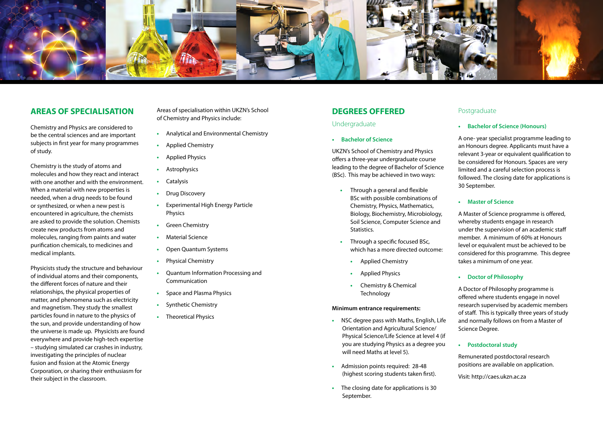

## **AREAS OF SPECIALISATION**

Chemistry and Physics are considered to be the central sciences and are important subjects in first year for many programmes of study.

Chemistry is the study of atoms and molecules and how they react and interact with one another and with the environment. When a material with new properties is needed, when a drug needs to be found or synthesized, or when a new pest is encountered in agriculture, the chemists are asked to provide the solution. Chemists create new products from atoms and molecules, ranging from paints and water purification chemicals, to medicines and medical implants.

Physicists study the structure and behaviour of individual atoms and their components, the different forces of nature and their relationships, the physical properties of matter, and phenomena such as electricity and magnetism. They study the smallest particles found in nature to the physics of the sun, and provide understanding of how the universe is made up. Physicists are found everywhere and provide high-tech expertise – studying simulated car crashes in industry, investigating the principles of nuclear fusion and fission at the Atomic Energy Corporation, or sharing their enthusiasm for their subject in the classroom.

Areas of specialisation within UKZN's School of Chemistry and Physics include:

- **•** Analytical and Environmental Chemistry
- **•** Applied Chemistry
- **•** Applied Physics
- **•** Astrophysics
- **•** Catalysis
- **•** Drug Discovery
- **•** Experimental High Energy Particle Physics
- **•** Green Chemistry
- **•** Material Science
- **•** Open Quantum Systems
- **•** Physical Chemistry
- **•** Quantum Information Processing and Communication
- **•** Space and Plasma Physics
- **•** Synthetic Chemistry
- **•** Theoretical Physics

## **DEGREES OFFERED**

## Undergraduate

**• Bachelor of Science**

UKZN's School of Chemistry and Physics offers a three-year undergraduate course leading to the degree of Bachelor of Science (BSc). This may be achieved in two ways:

- **•** Through a general and flexible BSc with possible combinations of Chemistry, Physics, Mathematics, Biology, Biochemistry, Microbiology, Soil Science, Computer Science and Statistics.
- **•** Through a specific focused BSc, which has a more directed outcome:
	- **•** Applied Chemistry
	- **•** Applied Physics
	- **•** Chemistry & Chemical **Technology**

#### **Minimum entrance requirements:**

- **•** NSC degree pass with Maths, English, Life Orientation and Agricultural Science/ Physical Science/Life Science at level 4 (if you are studying Physics as a degree you will need Maths at level 5).
- **•** Admission points required: 28-48 (highest scoring students taken first).
- **•** The closing date for applications is 30 September.

## Postgraduate

## **• Bachelor of Science (Honours)**

A one- year specialist programme leading to an Honours degree. Applicants must have a relevant 3-year or equivalent qualification to be considered for Honours. Spaces are very limited and a careful selection process is followed. The closing date for applications is 30 September.

#### **• Master of Science**

A Master of Science programme is offered, whereby students engage in research under the supervision of an academic staff member. A minimum of 60% at Honours level or equivalent must be achieved to be considered for this programme. This degree takes a minimum of one year.

#### **• Doctor of Philosophy**

A Doctor of Philosophy programme is offered where students engage in novel research supervised by academic members of staff. This is typically three years of study and normally follows on from a Master of Science Degree.

**• Postdoctoral study**

Remunerated postdoctoral research positions are available on application.

Visit:<http://caes.ukzn.ac.za>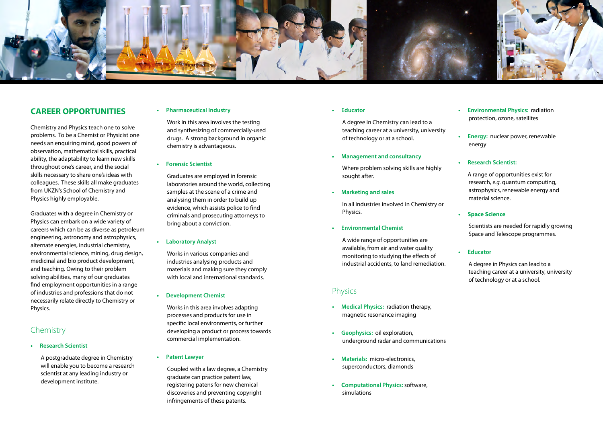

## **CAREER OPPORTUNITIES**

Chemistry and Physics teach one to solve problems. To be a Chemist or Physicist one needs an enquiring mind, good powers of observation, mathematical skills, practical ability, the adaptability to learn new skills throughout one's career, and the social skills necessary to share one's ideas with colleagues. These skills all make graduates from UKZN's School of Chemistry and Physics highly employable.

Graduates with a degree in Chemistry or Physics can embark on a wide variety of careers which can be as diverse as petroleum engineering, astronomy and astrophysics, alternate energies, industrial chemistry, environmental science, mining, drug design, medicinal and bio product development, and teaching. Owing to their problem solving abilities, many of our graduates find employment opportunities in a range of industries and professions that do not necessarily relate directly to Chemistry or Physics.

## Chemistry

#### **• Research Scientist**

A postgraduate degree in Chemistry will enable you to become a research scientist at any leading industry or development institute.

## **• Pharmaceutical Industry**

Work in this area involves the testing and synthesizing of commercially-used drugs. A strong background in organic chemistry is advantageous.

#### **• Forensic Scientist**

Graduates are employed in forensic laboratories around the world, collecting samples at the scene of a crime and analysing them in order to build up evidence, which assists police to find criminals and prosecuting attorneys to bring about a conviction.

#### **• Laboratory Analyst**

Works in various companies and industries analysing products and materials and making sure they comply with local and international standards.

**• Development Chemist**

Works in this area involves adapting processes and products for use in specific local environments, or further developing a product or process towards commercial implementation.

**• Patent Lawyer**

Coupled with a law degree, a Chemistry graduate can practice patent law, registering patens for new chemical discoveries and preventing copyright infringements of these patents.

**• Educator**

A degree in Chemistry can lead to a teaching career at a university, university of technology or at a school.

**• Management and consultancy**

Where problem solving skills are highly sought after.

**• Marketing and sales**

In all industries involved in Chemistry or Physics.

**• Environmental Chemist**

A wide range of opportunities are available, from air and water quality monitoring to studying the effects of industrial accidents, to land remediation.

## **Physics**

- **• Medical Physics:** radiation therapy, magnetic resonance imaging
- **• Geophysics:** oil exploration, underground radar and communications
- **• Materials:** micro-electronics, superconductors, diamonds
- **• Computational Physics:** software, simulations
- **• Environmental Physics:** radiation protection, ozone, satellites
- **• Energy:** nuclear power, renewable energy
- **• Research Scientist:**

A range of opportunities exist for research, *e.g.* quantum computing, astrophysics, renewable energy and material science.

**• Space Science**

Scientists are needed for rapidly growing Space and Telescope programmes.

**• Educator**

A degree in Physics can lead to a teaching career at a university, university of technology or at a school.